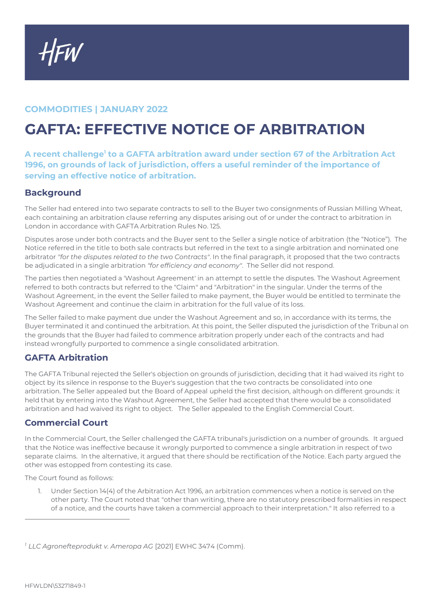## **COMMODITIES | JANUARY 2022**

# **GAFTA: EFFECTIVE NOTICE OF ARBITRATION**

**A recent challenge<sup>1</sup> to a GAFTA arbitration award under section 67 of the Arbitration Act 1996, on grounds of lack of jurisdiction, offers a useful reminder of the importance of serving an effective notice of arbitration.**

### **Background**

The Seller had entered into two separate contracts to sell to the Buyer two consignments of Russian Milling Wheat, each containing an arbitration clause referring any disputes arising out of or under the contract to arbitration in London in accordance with GAFTA Arbitration Rules No. 125.

Disputes arose under both contracts and the Buyer sent to the Seller a single notice of arbitration (the "Notice"). The Notice referred in the title to both sale contracts but referred in the text to a single arbitration and nominated one arbitrator *"for the disputes related to the two Contracts"*. In the final paragraph, it proposed that the two contracts be adjudicated in a single arbitration *"for efficiency and economy"*. The Seller did not respond.

The parties then negotiated a 'Washout Agreement' in an attempt to settle the disputes. The Washout Agreement referred to both contracts but referred to the "Claim" and "Arbitration" in the singular. Under the terms of the Washout Agreement, in the event the Seller failed to make payment, the Buyer would be entitled to terminate the Washout Agreement and continue the claim in arbitration for the full value of its loss.

The Seller failed to make payment due under the Washout Agreement and so, in accordance with its terms, the Buyer terminated it and continued the arbitration. At this point, the Seller disputed the jurisdiction of the Tribunal on the grounds that the Buyer had failed to commence arbitration properly under each of the contracts and had instead wrongfully purported to commence a single consolidated arbitration.

### **GAFTA Arbitration**

The GAFTA Tribunal rejected the Seller's objection on grounds of jurisdiction, deciding that it had waived its right to object by its silence in response to the Buyer's suggestion that the two contracts be consolidated into one arbitration. The Seller appealed but the Board of Appeal upheld the first decision, although on different grounds: it held that by entering into the Washout Agreement, the Seller had accepted that there would be a consolidated arbitration and had waived its right to object. The Seller appealed to the English Commercial Court.

### **Commercial Court**

In the Commercial Court, the Seller challenged the GAFTA tribunal's jurisdiction on a number of grounds. It argued that the Notice was ineffective because it wrongly purported to commence a single arbitration in respect of two separate claims. In the alternative, it argued that there should be rectification of the Notice. Each party argued the other was estopped from contesting its case.

The Court found as follows:

1. Under Section 14(4) of the Arbitration Act 1996, an arbitration commences when a notice is served on the other party. The Court noted that "other than writing, there are no statutory prescribed formalities in respect of a notice, and the courts have taken a commercial approach to their interpretation." It also referred to a

*<sup>1</sup> LLC Agronefteprodukt v. Ameropa AG* [2021] EWHC 3474 (Comm).